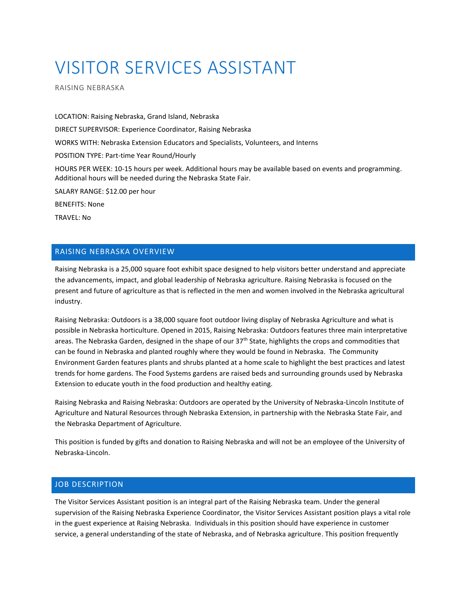# VISITOR SERVICES ASSISTANT

RAISING NEBRASKA

LOCATION: Raising Nebraska, Grand Island, Nebraska DIRECT SUPERVISOR: Experience Coordinator, Raising Nebraska WORKS WITH: Nebraska Extension Educators and Specialists, Volunteers, and Interns POSITION TYPE: Part-time Year Round/Hourly HOURS PER WEEK: 10-15 hours per week. Additional hours may be available based on events and programming. Additional hours will be needed during the Nebraska State Fair. SALARY RANGE: \$12.00 per hour BENEFITS: None

TRAVEL: No

## RAISING NEBRASKA OVERVIEW

Raising Nebraska is a 25,000 square foot exhibit space designed to help visitors better understand and appreciate the advancements, impact, and global leadership of Nebraska agriculture. Raising Nebraska is focused on the present and future of agriculture as that is reflected in the men and women involved in the Nebraska agricultural industry.

Raising Nebraska: Outdoors is a 38,000 square foot outdoor living display of Nebraska Agriculture and what is possible in Nebraska horticulture. Opened in 2015, Raising Nebraska: Outdoors features three main interpretative areas. The Nebraska Garden, designed in the shape of our 37<sup>th</sup> State, highlights the crops and commodities that can be found in Nebraska and planted roughly where they would be found in Nebraska. The Community Environment Garden features plants and shrubs planted at a home scale to highlight the best practices and latest trends for home gardens. The Food Systems gardens are raised beds and surrounding grounds used by Nebraska Extension to educate youth in the food production and healthy eating.

Raising Nebraska and Raising Nebraska: Outdoors are operated by the University of Nebraska-Lincoln Institute of Agriculture and Natural Resources through Nebraska Extension, in partnership with the Nebraska State Fair, and the Nebraska Department of Agriculture.

This position is funded by gifts and donation to Raising Nebraska and will not be an employee of the University of Nebraska-Lincoln.

### JOB DESCRIPTION

The Visitor Services Assistant position is an integral part of the Raising Nebraska team. Under the general supervision of the Raising Nebraska Experience Coordinator, the Visitor Services Assistant position plays a vital role in the guest experience at Raising Nebraska. Individuals in this position should have experience in customer service, a general understanding of the state of Nebraska, and of Nebraska agriculture. This position frequently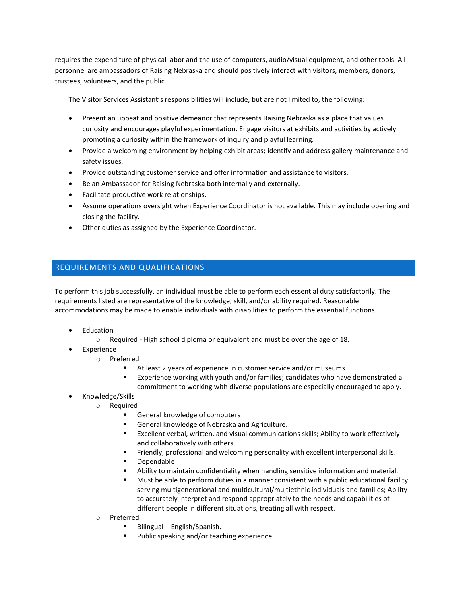requires the expenditure of physical labor and the use of computers, audio/visual equipment, and other tools. All personnel are ambassadors of Raising Nebraska and should positively interact with visitors, members, donors, trustees, volunteers, and the public.

The Visitor Services Assistant's responsibilities will include, but are not limited to, the following:

- Present an upbeat and positive demeanor that represents Raising Nebraska as a place that values curiosity and encourages playful experimentation. Engage visitors at exhibits and activities by actively promoting a curiosity within the framework of inquiry and playful learning.
- Provide a welcoming environment by helping exhibit areas; identify and address gallery maintenance and safety issues.
- Provide outstanding customer service and offer information and assistance to visitors.
- Be an Ambassador for Raising Nebraska both internally and externally.
- Facilitate productive work relationships.
- Assume operations oversight when Experience Coordinator is not available. This may include opening and closing the facility.
- Other duties as assigned by the Experience Coordinator.

## REQUIREMENTS AND QUALIFICATIONS

To perform this job successfully, an individual must be able to perform each essential duty satisfactorily. The requirements listed are representative of the knowledge, skill, and/or ability required. Reasonable accommodations may be made to enable individuals with disabilities to perform the essential functions.

- Education
	- o Required High school diploma or equivalent and must be over the age of 18.
	- Experience
		- o Preferred
			- At least 2 years of experience in customer service and/or museums.
			- Experience working with youth and/or families; candidates who have demonstrated a commitment to working with diverse populations are especially encouraged to apply.
- Knowledge/Skills
	- o Required
		- General knowledge of computers
		- General knowledge of Nebraska and Agriculture.
		- Excellent verbal, written, and visual communications skills; Ability to work effectively and collaboratively with others.
		- Friendly, professional and welcoming personality with excellent interpersonal skills.
		- Dependable
		- Ability to maintain confidentiality when handling sensitive information and material.
		- Must be able to perform duties in a manner consistent with a public educational facility serving multigenerational and multicultural/multiethnic individuals and families; Ability to accurately interpret and respond appropriately to the needs and capabilities of different people in different situations, treating all with respect.
	- o Preferred
		- Bilingual English/Spanish.
		- Public speaking and/or teaching experience